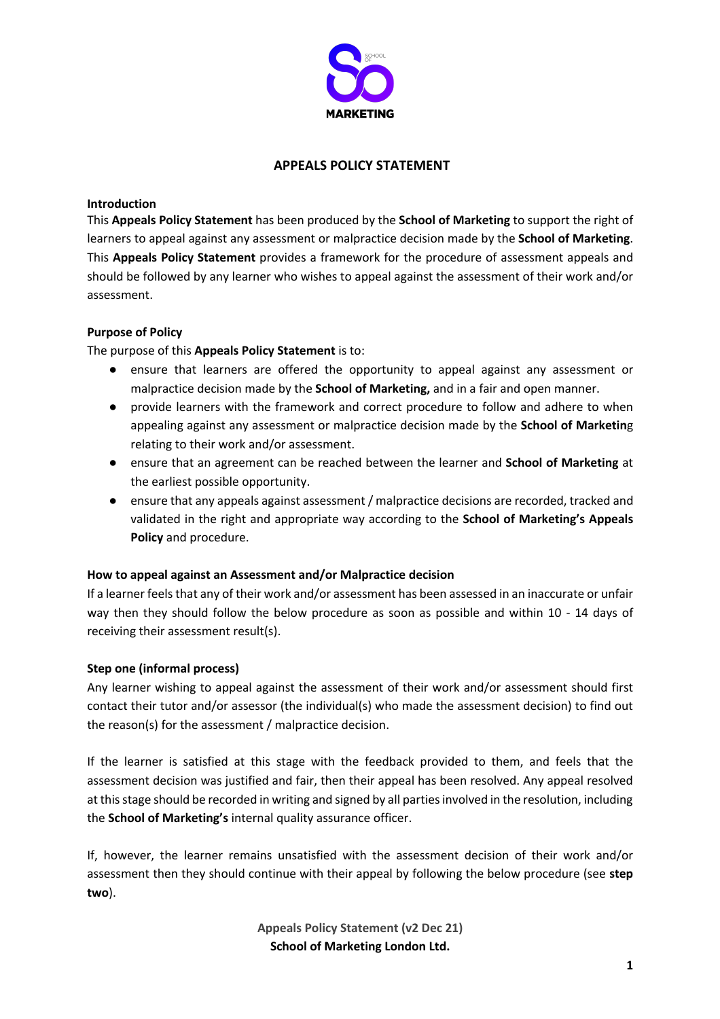

## **APPEALS POLICY STATEMENT**

### **Introduction**

This **Appeals Policy Statement** has been produced by the **School of Marketing** to support the right of learners to appeal against any assessment or malpractice decision made by the **School of Marketing**. This **Appeals Policy Statement** provides a framework for the procedure of assessment appeals and should be followed by any learner who wishes to appeal against the assessment of their work and/or assessment.

# **Purpose of Policy**

The purpose of this **Appeals Policy Statement** is to:

- ensure that learners are offered the opportunity to appeal against any assessment or malpractice decision made by the **School of Marketing,** and in a fair and open manner.
- provide learners with the framework and correct procedure to follow and adhere to when appealing against any assessment or malpractice decision made by the **School of Marketin**g relating to their work and/or assessment.
- ensure that an agreement can be reached between the learner and **School of Marketing** at the earliest possible opportunity.
- ensure that any appeals against assessment / malpractice decisions are recorded, tracked and validated in the right and appropriate way according to the **School of Marketing's Appeals Policy** and procedure.

#### **How to appeal against an Assessment and/or Malpractice decision**

If a learner feels that any of their work and/or assessment has been assessed in an inaccurate or unfair way then they should follow the below procedure as soon as possible and within 10 - 14 days of receiving their assessment result(s).

# **Step one (informal process)**

Any learner wishing to appeal against the assessment of their work and/or assessment should first contact their tutor and/or assessor (the individual(s) who made the assessment decision) to find out the reason(s) for the assessment / malpractice decision.

If the learner is satisfied at this stage with the feedback provided to them, and feels that the assessment decision was justified and fair, then their appeal has been resolved. Any appeal resolved at this stage should be recorded in writing and signed by all parties involved in the resolution, including the **School of Marketing's** internal quality assurance officer.

If, however, the learner remains unsatisfied with the assessment decision of their work and/or assessment then they should continue with their appeal by following the below procedure (see **step two**).

> **Appeals Policy Statement (v2 Dec 21) School of Marketing London Ltd.**